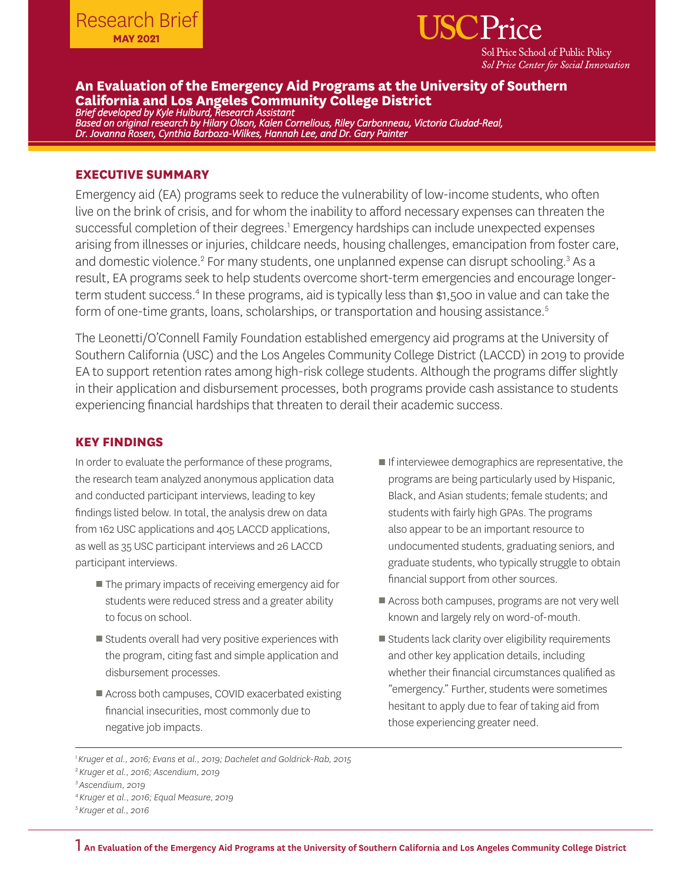

# **An Evaluation of the Emergency Aid Programs at the University of Southern California and Los Angeles Community College District**

*Brief developed by Kyle Hulburd, Research Assistant Based on original research by Hilary Olson, Kalen Cornelious, Riley Carbonneau, Victoria Ciudad-Real, Dr. Jovanna Rosen, Cynthia Barboza-Wilkes, Hannah Lee, and Dr. Gary Painter*

### **EXECUTIVE SUMMARY**

Emergency aid (EA) programs seek to reduce the vulnerability of low-income students, who often live on the brink of crisis, and for whom the inability to afford necessary expenses can threaten the successful completion of their degrees.<sup>1</sup> Emergency hardships can include unexpected expenses arising from illnesses or injuries, childcare needs, housing challenges, emancipation from foster care, and domestic violence.<sup>2</sup> For many students, one unplanned expense can disrupt schooling.<sup>3</sup> As a result, EA programs seek to help students overcome short-term emergencies and encourage longerterm student success.<sup>4</sup> In these programs, aid is typically less than \$1,500 in value and can take the form of one-time grants, loans, scholarships, or transportation and housing assistance.<sup>5</sup>

The Leonetti/O'Connell Family Foundation established emergency aid programs at the University of Southern California (USC) and the Los Angeles Community College District (LACCD) in 2019 to provide EA to support retention rates among high-risk college students. Although the programs differ slightly in their application and disbursement processes, both programs provide cash assistance to students experiencing financial hardships that threaten to derail their academic success.

### **KEY FINDINGS**

In order to evaluate the performance of these programs, the research team analyzed anonymous application data and conducted participant interviews, leading to key findings listed below. In total, the analysis drew on data from 162 USC applications and 405 LACCD applications, as well as 35 USC participant interviews and 26 LACCD participant interviews.

- The primary impacts of receiving emergency aid for students were reduced stress and a greater ability to focus on school.
- Students overall had very positive experiences with the program, citing fast and simple application and disbursement processes.
- Across both campuses, COVID exacerbated existing financial insecurities, most commonly due to negative job impacts.
- If interviewee demographics are representative, the programs are being particularly used by Hispanic, Black, and Asian students; female students; and students with fairly high GPAs. The programs also appear to be an important resource to undocumented students, graduating seniors, and graduate students, who typically struggle to obtain financial support from other sources.
- Across both campuses, programs are not very well known and largely rely on word-of-mouth.
- Students lack clarity over eligibility requirements and other key application details, including whether their financial circumstances qualified as "emergency." Further, students were sometimes hesitant to apply due to fear of taking aid from those experiencing greater need.

*<sup>1</sup> Kruger et al., 2016; Evans et al., 2019; Dachelet and Goldrick-Rab, 2015*

*<sup>2</sup> Kruger et al., 2016; Ascendium, 2019*

*<sup>3</sup> Ascendium, 2019*

*<sup>4</sup> Kruger et al., 2016; Equal Measure, 2019*

*<sup>5</sup> Kruger et al., 2016*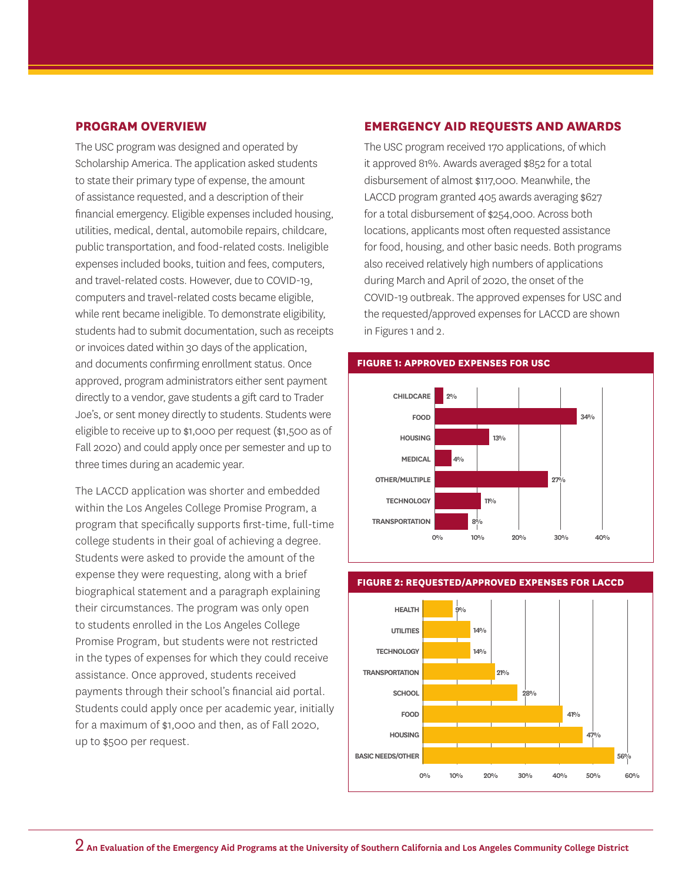### **PROGRAM OVERVIEW**

The USC program was designed and operated by Scholarship America. The application asked students to state their primary type of expense, the amount of assistance requested, and a description of their financial emergency. Eligible expenses included housing, utilities, medical, dental, automobile repairs, childcare, public transportation, and food-related costs. Ineligible expenses included books, tuition and fees, computers, and travel-related costs. However, due to COVID-19, computers and travel-related costs became eligible, while rent became ineligible. To demonstrate eligibility, students had to submit documentation, such as receipts or invoices dated within 30 days of the application, and documents confirming enrollment status. Once approved, program administrators either sent payment directly to a vendor, gave students a gift card to Trader Joe's, or sent money directly to students. Students were eligible to receive up to \$1,000 per request (\$1,500 as of Fall 2020) and could apply once per semester and up to three times during an academic year.

The LACCD application was shorter and embedded within the Los Angeles College Promise Program, a program that specifically supports first-time, full-time college students in their goal of achieving a degree. Students were asked to provide the amount of the expense they were requesting, along with a brief biographical statement and a paragraph explaining their circumstances. The program was only open to students enrolled in the Los Angeles College Promise Program, but students were not restricted in the types of expenses for which they could receive assistance. Once approved, students received payments through their school's financial aid portal. Students could apply once per academic year, initially for a maximum of \$1,000 and then, as of Fall 2020, up to \$500 per request.

### **EMERGENCY AID REQUESTS AND AWARDS**

The USC program received 170 applications, of which it approved 81%. Awards averaged \$852 for a total disbursement of almost \$117,000. Meanwhile, the LACCD program granted 405 awards averaging \$627 for a total disbursement of \$254,000. Across both locations, applicants most often requested assistance for food, housing, and other basic needs. Both programs also received relatively high numbers of applications during March and April of 2020, the onset of the COVID-19 outbreak. The approved expenses for USC and the requested/approved expenses for LACCD are shown in Figures 1 and 2.







## **FIGURE 2: REQUESTED/APPROVED EXPENSES FOR LACCD**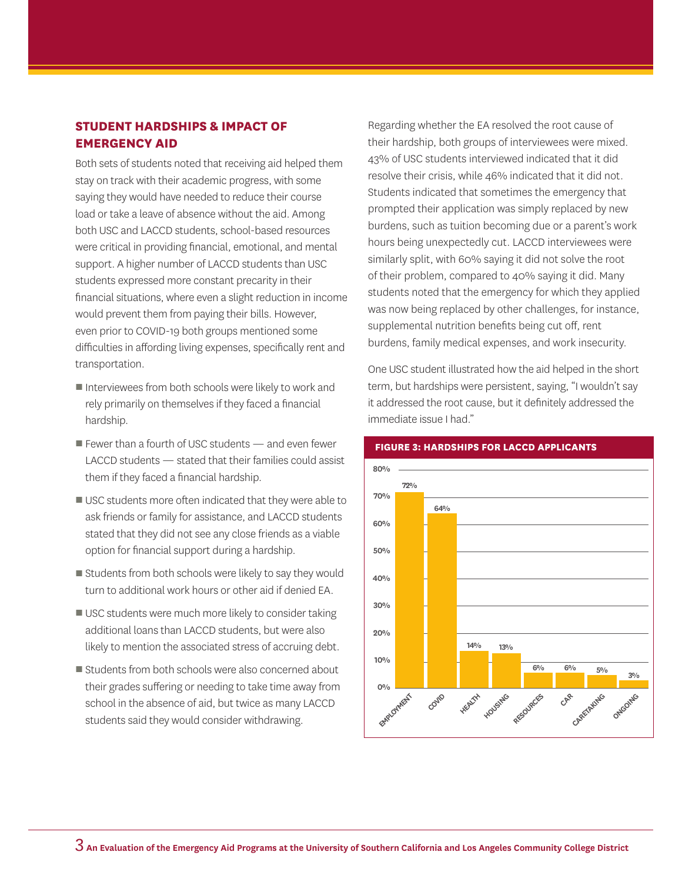## **STUDENT HARDSHIPS & IMPACT OF EMERGENCY AID**

Both sets of students noted that receiving aid helped them stay on track with their academic progress, with some saying they would have needed to reduce their course load or take a leave of absence without the aid. Among both USC and LACCD students, school-based resources were critical in providing financial, emotional, and mental support. A higher number of LACCD students than USC students expressed more constant precarity in their financial situations, where even a slight reduction in income would prevent them from paying their bills. However, even prior to COVID-19 both groups mentioned some difficulties in affording living expenses, specifically rent and transportation.

- Interviewees from both schools were likely to work and rely primarily on themselves if they faced a financial hardship.
- Fewer than a fourth of USC students and even fewer LACCD students — stated that their families could assist them if they faced a financial hardship.
- USC students more often indicated that they were able to ask friends or family for assistance, and LACCD students stated that they did not see any close friends as a viable option for financial support during a hardship.
- Students from both schools were likely to say they would turn to additional work hours or other aid if denied EA.
- USC students were much more likely to consider taking additional loans than LACCD students, but were also likely to mention the associated stress of accruing debt.
- Students from both schools were also concerned about their grades suffering or needing to take time away from school in the absence of aid, but twice as many LACCD students said they would consider withdrawing.

Regarding whether the EA resolved the root cause of their hardship, both groups of interviewees were mixed. 43% of USC students interviewed indicated that it did resolve their crisis, while 46% indicated that it did not. Students indicated that sometimes the emergency that prompted their application was simply replaced by new burdens, such as tuition becoming due or a parent's work hours being unexpectedly cut. LACCD interviewees were similarly split, with 60% saying it did not solve the root of their problem, compared to 40% saying it did. Many students noted that the emergency for which they applied was now being replaced by other challenges, for instance, supplemental nutrition benefits being cut off, rent burdens, family medical expenses, and work insecurity.

One USC student illustrated how the aid helped in the short term, but hardships were persistent, saying, "I wouldn't say it addressed the root cause, but it definitely addressed the immediate issue I had."



#### **FIGURE 3: HARDSHIPS FOR LACCD APPLICANTS**